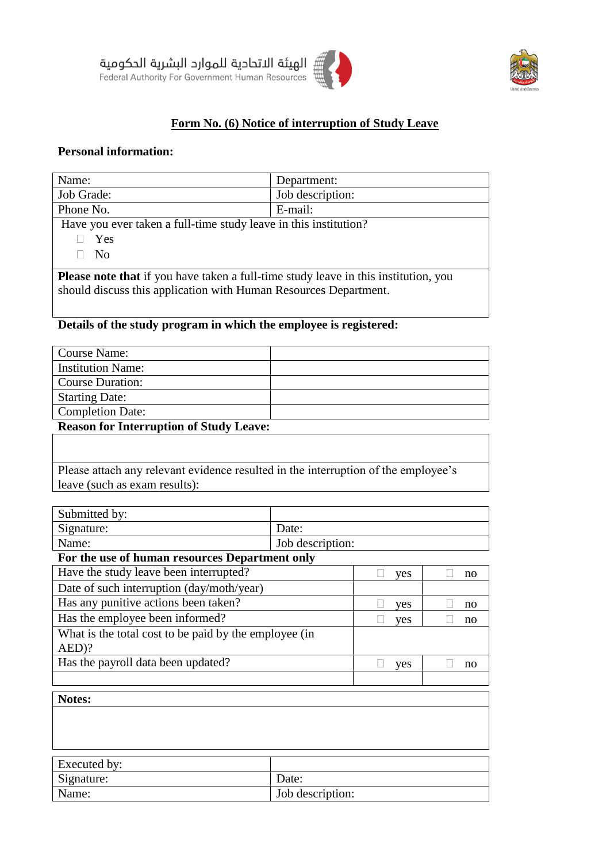



## **Form No. (6) Notice of interruption of Study Leave**

## **Personal information:**

| Name:                                                                                                                                                          | Department:      |  |
|----------------------------------------------------------------------------------------------------------------------------------------------------------------|------------------|--|
| Job Grade:                                                                                                                                                     | Job description: |  |
| Phone No.                                                                                                                                                      | E-mail:          |  |
| Have you ever taken a full-time study leave in this institution?                                                                                               |                  |  |
| Yes                                                                                                                                                            |                  |  |
| N <sub>o</sub>                                                                                                                                                 |                  |  |
| <b>Please note that</b> if you have taken a full-time study leave in this institution, you<br>should discuss this application with Human Resources Department. |                  |  |

# **Details of the study program in which the employee is registered:**

| Course Name:                                                                                                                                                                                                                                                                                                                                                                                                                                                                                                                |  |
|-----------------------------------------------------------------------------------------------------------------------------------------------------------------------------------------------------------------------------------------------------------------------------------------------------------------------------------------------------------------------------------------------------------------------------------------------------------------------------------------------------------------------------|--|
| <b>Institution Name:</b>                                                                                                                                                                                                                                                                                                                                                                                                                                                                                                    |  |
| Course Duration:                                                                                                                                                                                                                                                                                                                                                                                                                                                                                                            |  |
| <b>Starting Date:</b>                                                                                                                                                                                                                                                                                                                                                                                                                                                                                                       |  |
| Completion Date:                                                                                                                                                                                                                                                                                                                                                                                                                                                                                                            |  |
| $\cdot$ .<br>$0.01$ $\bullet$<br>$\blacksquare$ $\blacksquare$ $\blacksquare$ $\blacksquare$ $\blacksquare$ $\blacksquare$ $\blacksquare$ $\blacksquare$ $\blacksquare$ $\blacksquare$ $\blacksquare$ $\blacksquare$ $\blacksquare$ $\blacksquare$ $\blacksquare$ $\blacksquare$ $\blacksquare$ $\blacksquare$ $\blacksquare$ $\blacksquare$ $\blacksquare$ $\blacksquare$ $\blacksquare$ $\blacksquare$ $\blacksquare$ $\blacksquare$ $\blacksquare$ $\blacksquare$ $\blacksquare$ $\blacksquare$ $\blacksquare$ $\blacks$ |  |

#### **Reason for Interruption of Study Leave:**

Please attach any relevant evidence resulted in the interruption of the employee's leave (such as exam results):

| Submitted by:                                         |                  |  |     |    |
|-------------------------------------------------------|------------------|--|-----|----|
| Signature:                                            | Date:            |  |     |    |
| Name:                                                 | Job description: |  |     |    |
| For the use of human resources Department only        |                  |  |     |    |
| Have the study leave been interrupted?                |                  |  | yes | no |
| Date of such interruption (day/moth/year)             |                  |  |     |    |
| Has any punitive actions been taken?                  |                  |  | yes | no |
| Has the employee been informed?                       |                  |  | yes | no |
| What is the total cost to be paid by the employee (in |                  |  |     |    |
| AED)?                                                 |                  |  |     |    |
| Has the payroll data been updated?                    |                  |  | yes | no |
|                                                       |                  |  |     |    |
| Notes:                                                |                  |  |     |    |
|                                                       |                  |  |     |    |
|                                                       |                  |  |     |    |
|                                                       |                  |  |     |    |
|                                                       |                  |  |     |    |
| Executed by:                                          |                  |  |     |    |
| Signature:                                            | Date:            |  |     |    |
| Name:                                                 | Job description: |  |     |    |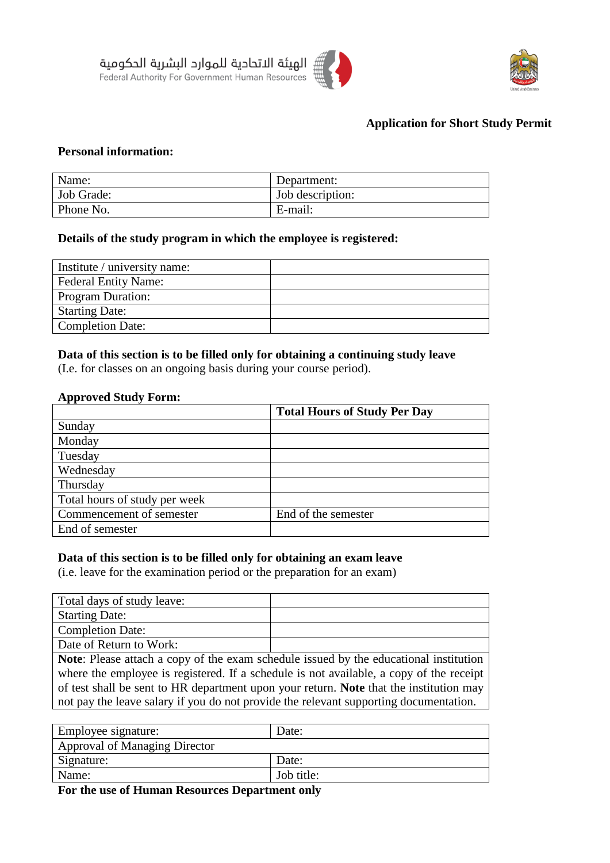



## **Application for Short Study Permit**

## **Personal information:**

| Name:      | Department:      |
|------------|------------------|
| Job Grade: | Job description: |
| Phone No.  | E-mail:          |

### **Details of the study program in which the employee is registered:**

| Institute / university name: |  |
|------------------------------|--|
| <b>Federal Entity Name:</b>  |  |
| <b>Program Duration:</b>     |  |
| <b>Starting Date:</b>        |  |
| <b>Completion Date:</b>      |  |

## **Data of this section is to be filled only for obtaining a continuing study leave**

(I.e. for classes on an ongoing basis during your course period).

#### **Approved Study Form:**

|                               | <b>Total Hours of Study Per Day</b> |
|-------------------------------|-------------------------------------|
| Sunday                        |                                     |
| Monday                        |                                     |
| Tuesday                       |                                     |
| Wednesday                     |                                     |
| Thursday                      |                                     |
| Total hours of study per week |                                     |
| Commencement of semester      | End of the semester                 |
| End of semester               |                                     |

### **Data of this section is to be filled only for obtaining an exam leave**

(i.e. leave for the examination period or the preparation for an exam)

| Total days of study leave: |  |
|----------------------------|--|
| <b>Starting Date:</b>      |  |
| Completion Date:           |  |
| Date of Return to Work:    |  |

**Note**: Please attach a copy of the exam schedule issued by the educational institution where the employee is registered. If a schedule is not available, a copy of the receipt of test shall be sent to HR department upon your return. **Note** that the institution may not pay the leave salary if you do not provide the relevant supporting documentation.

| Employee signature:           | Date:      |
|-------------------------------|------------|
| Approval of Managing Director |            |
| Signature:                    | Date:      |
| Name:                         | Job title: |

**For the use of Human Resources Department only**